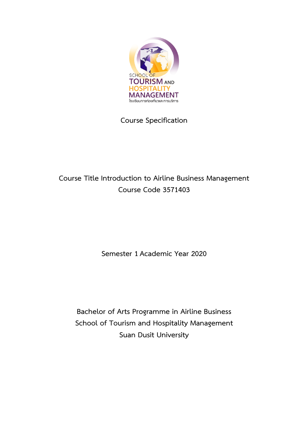

**Course Specification**

# **Course Title Introduction to Airline Business Management Course Code 3571403**

**Semester 1 Academic Year 2020**

**Bachelor of Arts Programme in Airline Business School of Tourism and Hospitality Management Suan Dusit University**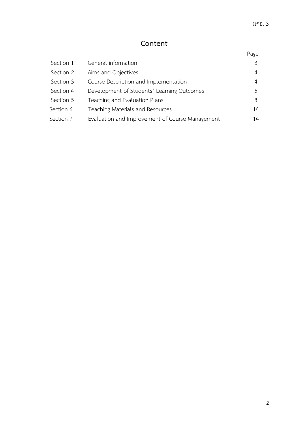# **Content**

# Page

| Section 1 | General information                             |               |
|-----------|-------------------------------------------------|---------------|
| Section 2 | Aims and Objectives                             | 4             |
| Section 3 | Course Description and Implementation           | 4             |
| Section 4 | Development of Students' Learning Outcomes      | $\mathcal{L}$ |
| Section 5 | Teaching and Evaluation Plans                   | 8             |
| Section 6 | Teaching Materials and Resources                | 14            |
| Section 7 | Evaluation and Improvement of Course Management | 14            |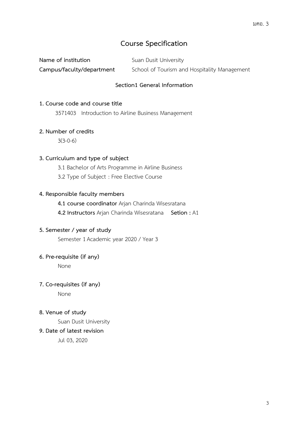# **Course Specification**

| Name of institution       | Suan Dusit University                        |
|---------------------------|----------------------------------------------|
| Campus/faculty/department | School of Tourism and Hospitality Management |

## **Section1 General Information**

## **1. Course code and course title**

3571403 Introduction to Airline Business Management

## **2. Number of credits**

3(3-0-6)

## **3. Curriculum and type of subject**

- 3.1 Bachelor of Arts Programme in Airline Business
- 3.2 Type of Subject : Free Elective Course

## **4. Responsible faculty members**

- **4.1 course coordinator** Arjan Charinda Wisesratana
- **4.2 Instructors** Arjan Charinda Wisesratana **Setion :** A1

## **5. Semester / year of study**

Semester 1 Academic year 2020 / Year 3

## **6. Pre-requisite (if any)**

None

## **7. Co-requisites (if any)**

None

#### **8. Venue of study**

Suan Dusit University

## **9. Date of latest revision**

Jul 03, 2020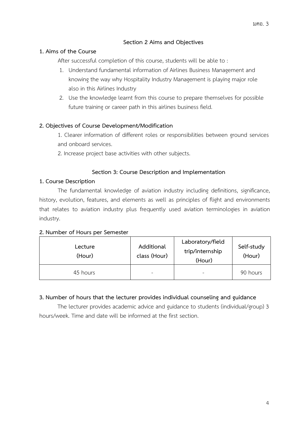## **Section 2 Aims and Objectives**

## **1. Aims of the Course**

After successful completion of this course, students will be able to :

- 1. Understand fundamental information of Airlines Business Management and knowing the way why Hospitality Industry Management is playing major role also in this Airlines Industry
- 2. Use the knowledge learnt from this course to prepare themselves for possible future training or career path in this airlines business field.

## **2. Objectives of Course Development/Modification**

1. Clearer information of different roles or responsibilities between ground services and onboard services.

2. Increase project base activities with other subjects.

## **Section 3: Course Description and Implementation**

## **1. Course Description**

The fundamental knowledge of aviation industry including definitions, significance, history, evolution, features, and elements as well as principles of flight and environments that relates to aviation industry plus frequently used aviation terminologies in aviation industry.

## **2. Number of Hours per Semester**

| Lecture<br>(Hour) | Additional<br>class (Hour) | Laboratory/field<br>trip/internship<br>(Hour) | Self-study<br>(Hour) |
|-------------------|----------------------------|-----------------------------------------------|----------------------|
| 45 hours          | -                          |                                               | 90 hours             |

## **3. Number of hours that the lecturer provides individual counseling and guidance**

The lecturer provides academic advice and guidance to students (individual/group) 3 hours/week. Time and date will be informed at the first section.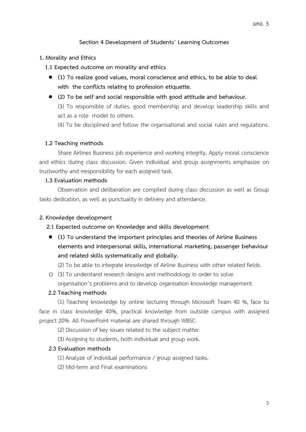## **Section 4 Development of Students' Learning Outcomes**

#### **1. Morality and Ethics**

- **1.1 Expected outcome on morality and ethics**
	- **(1) To realize good values, moral conscience and ethics, to be able to deal with the conflicts relating to profession etiquette.**
	- **(2) To be self and social responsible with good attitude and behaviour.**

(3) To responsible of duties, good membership and develop leadership skills and act as a role model to others.

(4) To be disciplined and follow the organisational and social rules and regulations.

#### **1.2 Teaching methods**

Share Airlines Business job experience and working integrity**.** Apply moral conscience and ethics during class discussion. Given individual and group assignments emphasize on trustworthy and rresponsibility for each assigned task.

#### **1.3 Evaluation methods**

Observation and deliberation are compiled during class discussion as well as Group tasks dedication, as well as punctuality in delivery and attendance.

#### **2. Knowledge development**

#### **2.1 Expected outcome on Knowledge and skills development**

• **(1) To understand the important principles and theories of Airline Business elements and interpersonal skills, international marketing, passenger behaviour and related skills systematically and globally.**

(2) To be able to integrate knowledge of Airline Business with other related fields.

o (3) To understand research designs and methodology in order to solve organisation's problems and to develop organisation knowledge management.

#### **2.2 Teaching methods**

(1) Teaching knowledge by online lecturing through Microsoft Team 40 %, face to face in class knowledge 40%, practical knowledge from outside campus with assigned project 20%. All PowerPoint material are shared through WBSC.

(2) Discussion of key issues related to the subject matter.

(3) Assigning to students, both individual and group work.

## **2.3 Evaluation methods**

(1) Analyze of individual performance / group assigned tasks.

(2) Mid-term and Final examinations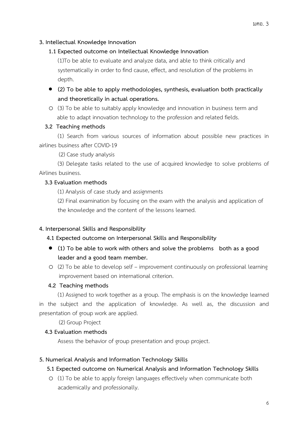## **3. Intellectual Knowledge Innovation**

#### **1.1 Expected outcome on Intellectual Knowledge Innovation**

(1)To be able to evaluate and analyze data, and able to think critically and systematically in order to find cause, effect, and resolution of the problems in depth.

- **(2) To be able to apply methodologies, synthesis, evaluation both practically and theoretically in actual operations.**
- o (3) To be able to suitably apply knowledge and innovation in business term and able to adapt innovation technology to the profession and related fields.

#### **3.2 Teaching methods**

(1) Search from various sources of information about possible new practices in airlines business after COVID-19

(2) Case study analysis

(3) Delegate tasks related to the use of acquired knowledge to solve problems of Airlines business.

## **3.3 Evaluation methods**

(1) Analysis of case study and assignments

(2) Final examination by focusing on the exam with the analysis and application of the knowledge and the content of the lessons learned.

#### **4. Interpersonal Skills and Responsibility**

#### **4.1 Expected outcome on Interpersonal Skills and Responsibility**

- **(1) To be able to work with others and solve the problems both as a good leader and a good team member.**
- o (2) To be able to develop self improvement continuously on professional learning improvement based on international criterion.

#### **4.2 Teaching methods**

(1) Assigned to work together as a group. The emphasis is on the knowledge learned in the subject and the application of knowledge. As well as, the discussion and presentation of group work are applied.

(2) Group Project

#### **4.3 Evaluation methods**

Assess the behavior of group presentation and group project.

#### **5. Numerical Analysis and Information Technology Skills**

#### **5.1 Expected outcome on Numerical Analysis and Information Technology Skills**

o (1) To be able to apply foreign languages effectively when communicate both academically and professionally.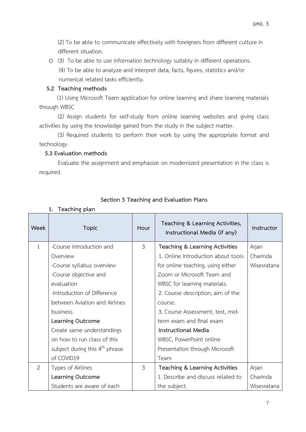(2) To be able to communicate effectively with foreigners from different culture in different situation.

o (3) To be able to use information technology suitably in different operations. (4) To be able to analyze and interpret data, facts, figures, statistics and/or numerical related tasks efficiently.

## **5.2 Teaching methods**

 (1) Using Microsoft Team application for online learning and share learning materials through WBSC

(2) Assign students for self-study from online learning websites and giving class activities by using the knowledge gained from the study in the subject matter.

(3) Required students to perform their work by using the appropriate format and technology.

## **5.3 Evaluation methods**

**1. Teaching plan**

Evaluate the assignment and emphasize on modernized presentation in the class is required.

| Week           | <b>Topic</b>                                 | Hour | Teaching & Learning Activities,<br>Instructional Media (if any) | Instructor  |
|----------------|----------------------------------------------|------|-----------------------------------------------------------------|-------------|
| $\mathbf{1}$   | -Course introduction and                     | 3    | Teaching & Learning Activities                                  | Arjan       |
|                | Overview                                     |      | 1. Online Introduction about tools                              | Charinda    |
|                | -Course syllabus overview                    |      | for online teaching, using either                               | Wisesratana |
|                | -Course objective and                        |      | Zoom or Microsoft Team and                                      |             |
|                | evaluation                                   |      | WBSC for learning materials.                                    |             |
|                | -Introduction of Difference                  |      | 2. Course description, aim of the                               |             |
|                | between Aviation and Airlines                |      | course.                                                         |             |
|                | business.                                    |      | 3. Course Assessment, test, mid-                                |             |
|                | term exam and final exam<br>Learning Outcome |      |                                                                 |             |
|                | Create same understandings                   |      | Instructional Media                                             |             |
|                | on how to run class of this                  |      | WBSC, PowerPoint online                                         |             |
|                | subject during this $4th$ phrase             |      | Presentation through Microsoft                                  |             |
|                | of COVID19                                   |      | Team                                                            |             |
| $\overline{2}$ | Types of Airlines                            | 3    | Teaching & Learning Activities                                  | Arjan       |
|                | Learning Outcome                             |      | 1. Describe and discuss related to                              | Charinda    |
|                | Students are aware of each                   |      | the subject.                                                    | Wisesratana |

# **Section 5 Teaching and Evaluation Plans**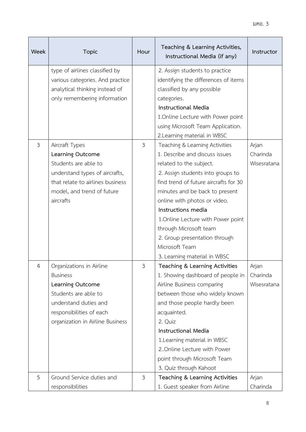| Week           | <b>Topic</b>                     | Hour | Teaching & Learning Activities,<br>Instructional Media (if any) | Instructor  |
|----------------|----------------------------------|------|-----------------------------------------------------------------|-------------|
|                | type of airlines classified by   |      | 2. Assign students to practice                                  |             |
|                | various categories. And practice |      | identifying the differences of items                            |             |
|                | analytical thinking instead of   |      | classified by any possible                                      |             |
|                | only remembering information     |      | categories.                                                     |             |
|                |                                  |      | <b>Instructional Media</b>                                      |             |
|                |                                  |      | 1. Online Lecture with Power point                              |             |
|                |                                  |      | using Microsoft Team Application.                               |             |
|                |                                  |      | 2. Learning material in WBSC                                    |             |
| $\mathfrak{Z}$ | Aircraft Types                   | 3    | Teaching & Learning Activities                                  | Arjan       |
|                | Learning Outcome                 |      | 1. Describe and discuss issues                                  | Charinda    |
|                | Students are able to             |      | related to the subject.                                         | Wisesratana |
|                | understand types of aircrafts,   |      | 2. Assign students into groups to                               |             |
|                | that relate to airlines business |      | find trend of future aircrafts for 30                           |             |
|                | model, and trend of future       |      | minutes and be back to present                                  |             |
|                | aircrafts                        |      | online with photos or video.                                    |             |
|                |                                  |      | Instructions media                                              |             |
|                |                                  |      | 1. Online Lecture with Power point                              |             |
|                |                                  |      | through Microsoft team                                          |             |
|                |                                  |      | 2. Group presentation through                                   |             |
|                |                                  |      | Microsoft Team                                                  |             |
|                |                                  |      | 3. Learning material in WBSC                                    |             |
| 4              | Organizations in Airline         | 3    | Teaching & Learning Activities                                  | Arjan       |
|                | <b>Business</b>                  |      | 1. Showing dashboard of people in                               | Charinda    |
|                | Learning Outcome                 |      | Airline Business comparing                                      | Wisesratana |
|                | Students are able to             |      | between those who widely known                                  |             |
|                | understand duties and            |      | and those people hardly been                                    |             |
|                | responsibilities of each         |      | acquainted.                                                     |             |
|                | organization in Airline Business |      | 2. Quiz                                                         |             |
|                |                                  |      | <b>Instructional Media</b>                                      |             |
|                |                                  |      | 1. Learning material in WBSC                                    |             |
|                |                                  |      | 2. Online Lecture with Power                                    |             |
|                |                                  |      | point through Microsoft Team                                    |             |
|                |                                  |      | 3. Quiz through Kahoot                                          |             |
| 5              | Ground Service duties and        | 3    | Teaching & Learning Activities                                  | Arjan       |
|                | responsibilities                 |      | 1. Guest speaker from Airline                                   | Charinda    |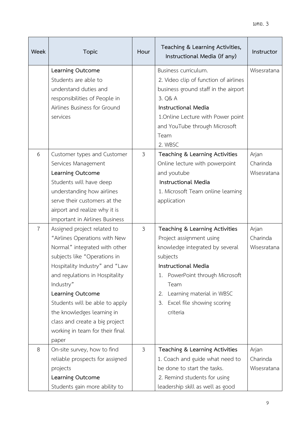| Week           | <b>Topic</b>                                                                                                                                                                                                                                                                                                                                                                     | Hour           | Teaching & Learning Activities,<br>Instructional Media (if any)                                                                                                                                                                                                       | Instructor                       |
|----------------|----------------------------------------------------------------------------------------------------------------------------------------------------------------------------------------------------------------------------------------------------------------------------------------------------------------------------------------------------------------------------------|----------------|-----------------------------------------------------------------------------------------------------------------------------------------------------------------------------------------------------------------------------------------------------------------------|----------------------------------|
|                | Learning Outcome<br>Students are able to<br>understand duties and<br>responsibilities of People in<br>Airlines Business for Ground<br>services                                                                                                                                                                                                                                   |                | Business curriculum.<br>2. Video clip of function of airlines<br>business ground staff in the airport<br>3. Q& A<br><b>Instructional Media</b><br>1. Online Lecture with Power point<br>and YouTube through Microsoft<br>Team<br>2. WBSC                              | Wisesratana                      |
| 6              | Customer types and Customer<br>Services Management<br>Learning Outcome<br>Students will have deep<br>understanding how airlines<br>serve their customers at the<br>airport and realize why it is<br>important in Airlines Business                                                                                                                                               | $\mathfrak{Z}$ | Teaching & Learning Activities<br>Online lecture with powerpoint<br>and youtube<br><b>Instructional Media</b><br>1. Microsoft Team online learning<br>application                                                                                                     | Arjan<br>Charinda<br>Wisesratana |
| $\overline{7}$ | Assigned project related to<br>"Airlines Operations with New<br>Normal" integrated with other<br>subjects like "Operations in<br>Hospitality Industry" and "Law<br>and regulations in Hospitality<br>Industry"<br>Learning Outcome<br>Students will be able to apply<br>the knowledges learning in<br>class and create a big project<br>working in team for their final<br>paper | 3              | Teaching & Learning Activities<br>Project assignment using<br>knowledge integrated by several<br>subjects<br><b>Instructional Media</b><br>1. PowerPoint through Microsoft<br>Team<br>Learning material in WBSC<br>2.<br>Excel file showing scoring<br>3.<br>criteria | Arjan<br>Charinda<br>Wisesratana |
| 8              | On-site survey, how to find<br>reliable prospects for assigned<br>projects<br>Learning Outcome<br>Students gain more ability to                                                                                                                                                                                                                                                  | 3              | Teaching & Learning Activities<br>1. Coach and guide what need to<br>be done to start the tasks.<br>2. Remind students for using<br>leadership skill as well as good                                                                                                  | Arjan<br>Charinda<br>Wisesratana |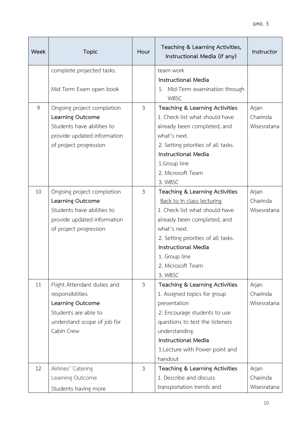| Week | <b>Topic</b>                           | Hour                       | Teaching & Learning Activities,<br>Instructional Media (if any) | Instructor        |
|------|----------------------------------------|----------------------------|-----------------------------------------------------------------|-------------------|
|      | complete projected tasks.              |                            | team work                                                       |                   |
|      |                                        |                            | <b>Instructional Media</b>                                      |                   |
|      | Mid Term Exam open book                |                            | 1. Mid-Term examination through                                 |                   |
|      |                                        |                            | <b>WBSC</b>                                                     |                   |
| 9    | Ongoing project completion             | $\mathfrak{Z}$             | Teaching & Learning Activities                                  | Arjan             |
|      | Learning Outcome                       |                            | 1. Check list what should have                                  | Charinda          |
|      | Students have abilities to             |                            | already been completed, and                                     | Wisesratana       |
|      | provide updated information            |                            | what's next.                                                    |                   |
|      | of project progression                 |                            | 2. Setting priorities of all tasks.                             |                   |
|      |                                        |                            | <b>Instructional Media</b>                                      |                   |
|      |                                        |                            | 1.Group line                                                    |                   |
|      |                                        |                            | 2. Microsoft Team                                               |                   |
|      |                                        |                            | 3. WBSC                                                         |                   |
| 10   | Ongoing project completion             | $\mathfrak{Z}$             | Teaching & Learning Activities                                  | Arjan             |
|      | Learning Outcome                       | Back to In class lecturing |                                                                 | Charinda          |
|      | Students have abilities to             |                            | 1. Check list what should have                                  | Wisesratana       |
|      | provide updated information            |                            | already been completed, and                                     |                   |
|      | of project progression                 |                            | what's next.                                                    |                   |
|      |                                        |                            | 2. Setting priorities of all tasks.                             |                   |
|      |                                        |                            | <b>Instructional Media</b>                                      |                   |
|      |                                        |                            | 1. Group line                                                   |                   |
|      |                                        |                            | 2. Microsoft Team                                               |                   |
|      |                                        |                            | 3. WBSC                                                         |                   |
| 11   | Flight Attendant duties and            | $\mathfrak{Z}$             | Teaching & Learning Activities<br>Arjan                         |                   |
|      | responsibilities                       |                            | Charinda<br>1. Assigned topics for group                        |                   |
|      | Learning Outcome                       |                            | presentation<br>Wisesratana                                     |                   |
|      | Students are able to                   |                            | 2. Encourage students to use                                    |                   |
|      | understand scope of job for            |                            | questions to test the listeners                                 |                   |
|      | Cabin Crew                             |                            | understanding.                                                  |                   |
|      |                                        |                            | <b>Instructional Media</b>                                      |                   |
|      |                                        |                            | 1. Lecture with Power point and                                 |                   |
| 12   |                                        | $\mathfrak{Z}$             | handout                                                         |                   |
|      | Airlines' Catering<br>Learning Outcome |                            | Teaching & Learning Activities<br>1. Describe and discuss       | Arjan<br>Charinda |
|      |                                        |                            | transportation trends and                                       | Wisesratana       |
|      | Students having more                   |                            |                                                                 |                   |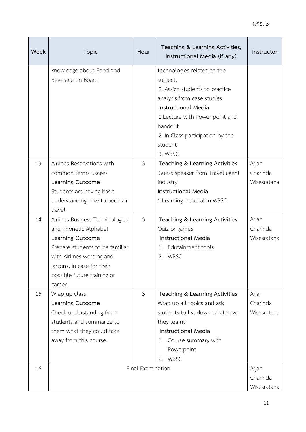| <b>Week</b> | <b>Topic</b>                                                                                                                                                                                                         | Hour              | Teaching & Learning Activities,<br>Instructional Media (if any)                                                                                                                                                                                | Instructor                       |
|-------------|----------------------------------------------------------------------------------------------------------------------------------------------------------------------------------------------------------------------|-------------------|------------------------------------------------------------------------------------------------------------------------------------------------------------------------------------------------------------------------------------------------|----------------------------------|
|             | knowledge about Food and<br>Beverage on Board                                                                                                                                                                        |                   | technologies related to the<br>subject.<br>2. Assign students to practice<br>analysis from case studies.<br><b>Instructional Media</b><br>1. Lecture with Power point and<br>handout<br>2. In Class participation by the<br>student<br>3. WBSC |                                  |
| 13          | Airlines Reservations with<br>common terms usages<br>Learning Outcome<br>Students are having basic<br>understanding how to book air<br>travel                                                                        | $\mathfrak{Z}$    | Teaching & Learning Activities<br>Guess speaker from Travel agent<br>industry<br><b>Instructional Media</b><br>1. Learning material in WBSC                                                                                                    | Arjan<br>Charinda<br>Wisesratana |
| 14          | Airlines Business Terminologies<br>and Phonetic Alphabet<br>Learning Outcome<br>Prepare students to be familiar<br>with Airlines wording and<br>jargons, in case for their<br>possible future training or<br>career. | $\mathfrak{Z}$    | Teaching & Learning Activities<br>Quiz or games<br>Instructional Media<br>Edutainment tools<br>1.<br>2. WBSC                                                                                                                                   | Arjan<br>Charinda<br>Wisesratana |
| 15          | Wrap up class<br>Learning Outcome<br>Check understanding from<br>students and summarize to<br>them what they could take<br>away from this course.                                                                    | $\mathfrak{Z}$    | Teaching & Learning Activities<br>Wrap up all topics and ask<br>students to list down what have<br>they learnt<br><b>Instructional Media</b><br>1. Course summary with<br>Powerpoint<br>2. WBSC                                                | Arjan<br>Charinda<br>Wisesratana |
| 16          |                                                                                                                                                                                                                      | Final Examination |                                                                                                                                                                                                                                                | Arjan<br>Charinda<br>Wisesratana |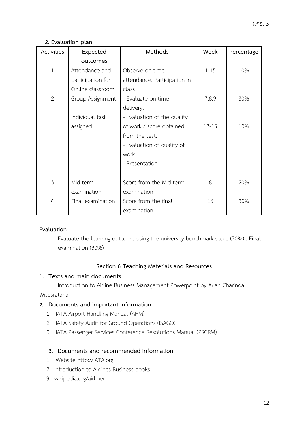## **2. Evaluation plan**

| Activities     | Expected          | Methods                      | Week      | Percentage |
|----------------|-------------------|------------------------------|-----------|------------|
|                | outcomes          |                              |           |            |
| $\mathbf{1}$   | Attendance and    | Observe on time              | $1 - 15$  | 10%        |
|                | participation for | attendance. Participation in |           |            |
|                | Online classroom. | class                        |           |            |
| $\overline{2}$ | Group Assignment  | - Evaluate on time           | 7,8,9     | 30%        |
|                |                   | delivery.                    |           |            |
|                | Individual task   | - Evaluation of the quality  |           |            |
|                | assigned          | of work / score obtained     | $13 - 15$ | 10%        |
|                |                   | from the test.               |           |            |
|                |                   | - Evaluation of quality of   |           |            |
|                |                   | work                         |           |            |
|                |                   | - Presentation               |           |            |
|                |                   |                              |           |            |
| 3              | Mid-term          | Score from the Mid-term      | 8         | 20%        |
|                | examination       | examination                  |           |            |
| $\overline{4}$ | Final examination | Score from the final         | 16        | 30%        |
|                |                   | examination                  |           |            |

## **Evaluation**

Evaluate the learning outcome using the university benchmark score (70%) : Final examination (30%)

## **Section 6 Teaching Materials and Resources**

## **1. Texts and main documents**

Introduction to Airline Business Management Powerpoint by Arjan Charinda

## Wisesratana

## **2. Documents and important information**

- 1. IATA Airport Handling Manual (AHM)
- 2. IATA Safety Audit for Ground Operations (ISAGO)
- 3. IATA Passenger Services Conference Resolutions Manual (PSCRM).

## **3. Documents and recommended information**

- 1. Website http://IATA.org
- 2. Introduction to Airlines Business books
- 3. wikipedia.org/airliner